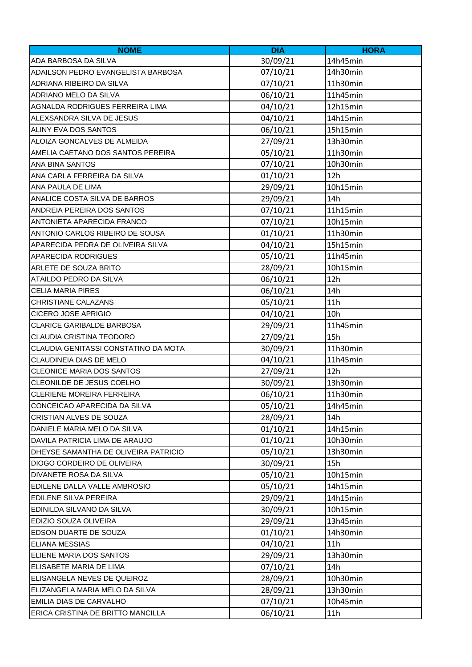| <b>NOME</b>                          | <b>DIA</b> | <b>HORA</b> |
|--------------------------------------|------------|-------------|
| ADA BARBOSA DA SILVA                 | 30/09/21   | 14h45min    |
| ADAILSON PEDRO EVANGELISTA BARBOSA   | 07/10/21   | 14h30min    |
| ADRIANA RIBEIRO DA SILVA             | 07/10/21   | 11h30min    |
| ADRIANO MELO DA SILVA                | 06/10/21   | 11h45min    |
| AGNALDA RODRIGUES FERREIRA LIMA      | 04/10/21   | 12h15min    |
| ALEXSANDRA SILVA DE JESUS            | 04/10/21   | 14h15min    |
| ALINY EVA DOS SANTOS                 | 06/10/21   | 15h15min    |
| ALOIZA GONCALVES DE ALMEIDA          | 27/09/21   | 13h30min    |
| AMELIA CAETANO DOS SANTOS PEREIRA    | 05/10/21   | 11h30min    |
| <b>ANA BINA SANTOS</b>               | 07/10/21   | 10h30min    |
| ANA CARLA FERREIRA DA SILVA          | 01/10/21   | 12h         |
| ANA PAULA DE LIMA                    | 29/09/21   | 10h15min    |
| ANALICE COSTA SILVA DE BARROS        | 29/09/21   | 14h         |
| ANDREIA PEREIRA DOS SANTOS           | 07/10/21   | 11h15min    |
| <b>ANTONIETA APARECIDA FRANCO</b>    | 07/10/21   | 10h15min    |
| ANTONIO CARLOS RIBEIRO DE SOUSA      | 01/10/21   | 11h30min    |
| APARECIDA PEDRA DE OLIVEIRA SILVA    | 04/10/21   | 15h15min    |
| <b>APARECIDA RODRIGUES</b>           | 05/10/21   | 11h45min    |
| ARLETE DE SOUZA BRITO                | 28/09/21   | 10h15min    |
| ATAILDO PEDRO DA SILVA               | 06/10/21   | 12h         |
| <b>CELIA MARIA PIRES</b>             | 06/10/21   | 14h         |
| CHRISTIANE CALAZANS                  | 05/10/21   | 11h         |
| <b>CICERO JOSE APRIGIO</b>           | 04/10/21   | 10h         |
| <b>CLARICE GARIBALDE BARBOSA</b>     | 29/09/21   | 11h45min    |
| CLAUDIA CRISTINA TEODORO             | 27/09/21   | 15h         |
| CLAUDIA GENITASSI CONSTATINO DA MOTA | 30/09/21   | 11h30min    |
| CLAUDINEIA DIAS DE MELO              | 04/10/21   | 11h45min    |
| <b>CLEONICE MARIA DOS SANTOS</b>     | 27/09/21   | 12h         |
| CLEONILDE DE JESUS COELHO            | 30/09/21   | 13h30min    |
| <b>CLERIENE MOREIRA FERREIRA</b>     | 06/10/21   | 11h30min    |
| CONCEICAO APARECIDA DA SILVA         | 05/10/21   | 14h45min    |
| CRISTIAN ALVES DE SOUZA              | 28/09/21   | 14h         |
| DANIELE MARIA MELO DA SILVA          | 01/10/21   | 14h15min    |
| DAVILA PATRICIA LIMA DE ARAUJO       | 01/10/21   | 10h30min    |
| DHEYSE SAMANTHA DE OLIVEIRA PATRICIO | 05/10/21   | 13h30min    |
| DIOGO CORDEIRO DE OLIVEIRA           | 30/09/21   | 15h         |
| DIVANETE ROSA DA SILVA               | 05/10/21   | 10h15min    |
| EDILENE DALLA VALLE AMBROSIO         | 05/10/21   | 14h15min    |
| <b>EDILENE SILVA PEREIRA</b>         | 29/09/21   | 14h15min    |
| EDINILDA SILVANO DA SILVA            | 30/09/21   | 10h15min    |
| EDIZIO SOUZA OLIVEIRA                | 29/09/21   | 13h45min    |
| EDSON DUARTE DE SOUZA                | 01/10/21   | 14h30min    |
| <b>ELIANA MESSIAS</b>                | 04/10/21   | 11h         |
| ELIENE MARIA DOS SANTOS              | 29/09/21   | 13h30min    |
| ELISABETE MARIA DE LIMA              | 07/10/21   | 14h         |
| ELISANGELA NEVES DE QUEIROZ          | 28/09/21   | 10h30min    |
| ELIZANGELA MARIA MELO DA SILVA       | 28/09/21   | 13h30min    |
| EMILIA DIAS DE CARVALHO              | 07/10/21   | 10h45min    |
| ERICA CRISTINA DE BRITTO MANCILLA    | 06/10/21   | 11h         |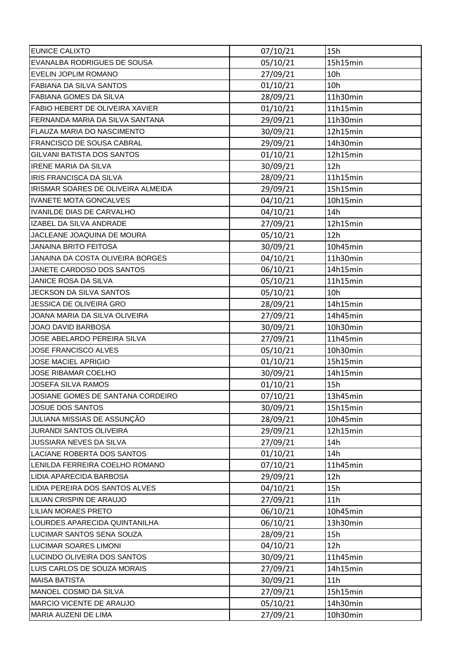| <b>EUNICE CALIXTO</b>              | 07/10/21 | 15h             |
|------------------------------------|----------|-----------------|
| EVANALBA RODRIGUES DE SOUSA        | 05/10/21 | 15h15min        |
| <b>EVELIN JOPLIM ROMANO</b>        | 27/09/21 | 10 <sub>h</sub> |
| <b>FABIANA DA SILVA SANTOS</b>     | 01/10/21 | 10h             |
| <b>FABIANA GOMES DA SILVA</b>      | 28/09/21 | 11h30min        |
| FABIO HEBERT DE OLIVEIRA XAVIER    | 01/10/21 | 11h15min        |
| FERNANDA MARIA DA SILVA SANTANA    | 29/09/21 | 11h30min        |
| <b>FLAUZA MARIA DO NASCIMENTO</b>  | 30/09/21 | 12h15min        |
| FRANCISCO DE SOUSA CABRAL          | 29/09/21 | 14h30min        |
| <b>GILVANI BATISTA DOS SANTOS</b>  | 01/10/21 | 12h15min        |
| <b>IRENE MARIA DA SILVA</b>        | 30/09/21 | 12h             |
| <b>IRIS FRANCISCA DA SILVA</b>     | 28/09/21 | 11h15min        |
| IRISMAR SOARES DE OLIVEIRA ALMEIDA | 29/09/21 | 15h15min        |
| <b>IVANETE MOTA GONCALVES</b>      | 04/10/21 | 10h15min        |
| <b>IVANILDE DIAS DE CARVALHO</b>   | 04/10/21 | 14h             |
| IZABEL DA SILVA ANDRADE            | 27/09/21 | 12h15min        |
| JACLEANE JOAQUINA DE MOURA         | 05/10/21 | 12h             |
| JANAINA BRITO FEITOSA              | 30/09/21 | 10h45min        |
| JANAINA DA COSTA OLIVEIRA BORGES   | 04/10/21 | 11h30min        |
| JANETE CARDOSO DOS SANTOS          | 06/10/21 | 14h15min        |
| JANICE ROSA DA SILVA               | 05/10/21 | 11h15min        |
| JECKSON DA SILVA SANTOS            | 05/10/21 | 10h             |
| JESSICA DE OLIVEIRA GRO            | 28/09/21 | 14h15min        |
| JOANA MARIA DA SILVA OLIVEIRA      | 27/09/21 | 14h45min        |
| JOAO DAVID BARBOSA                 | 30/09/21 | 10h30min        |
| JOSE ABELARDO PEREIRA SILVA        | 27/09/21 | 11h45min        |
| <b>JOSE FRANCISCO ALVES</b>        | 05/10/21 | 10h30min        |
| <b>JOSE MACIEL APRIGIO</b>         | 01/10/21 | 15h15min        |
| <b>JOSE RIBAMAR COELHO</b>         | 30/09/21 | 14h15min        |
| <b>JOSEFA SILVA RAMOS</b>          | 01/10/21 | 15h             |
| JOSIANE GOMES DE SANTANA CORDEIRO  | 07/10/21 | 13h45min        |
| JOSUE DOS SANTOS                   | 30/09/21 | 15h15min        |
| JULIANA MISSIAS DE ASSUNÇÃO        | 28/09/21 | 10h45min        |
| JURANDI SANTOS OLIVEIRA            | 29/09/21 | 12h15min        |
| JUSSIARA NEVES DA SILVA            | 27/09/21 | 14h             |
| LACIANE ROBERTA DOS SANTOS         | 01/10/21 | 14h             |
| LENILDA FERREIRA COELHO ROMANO     | 07/10/21 | 11h45min        |
| LIDIA APARECIDA BARBOSA            | 29/09/21 | 12h             |
| LIDIA PEREIRA DOS SANTOS ALVES     | 04/10/21 | 15h             |
| <b>LILIAN CRISPIN DE ARAUJO</b>    | 27/09/21 | 11h             |
| <b>LILIAN MORAES PRETO</b>         | 06/10/21 | 10h45min        |
| LOURDES APARECIDA QUINTANILHA      | 06/10/21 | 13h30min        |
| LUCIMAR SANTOS SENA SOUZA          | 28/09/21 | 15h             |
| <b>LUCIMAR SOARES LIMONI</b>       | 04/10/21 | 12h             |
| LUCINDO OLIVEIRA DOS SANTOS        | 30/09/21 | 11h45min        |
| LUIS CARLOS DE SOUZA MORAIS        | 27/09/21 | 14h15min        |
| <b>MAISA BATISTA</b>               | 30/09/21 | 11h             |
| MANOEL COSMO DA SILVA              | 27/09/21 | 15h15min        |
| MARCIO VICENTE DE ARAUJO           | 05/10/21 | 14h30min        |
| MARIA AUZENI DE LIMA               | 27/09/21 | 10h30min        |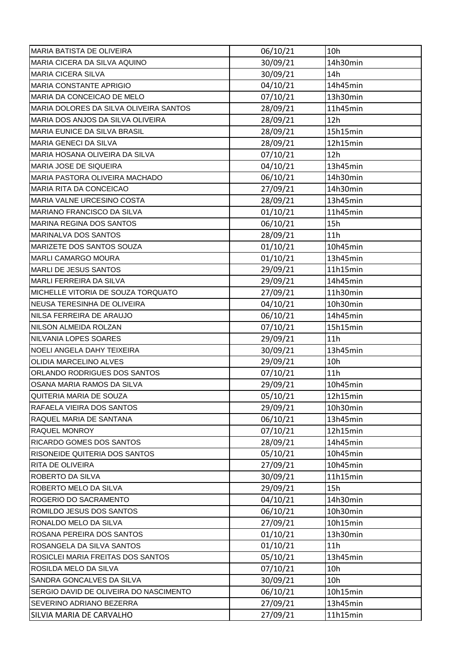| MARIA BATISTA DE OLIVEIRA              | 06/10/21 | 10h             |
|----------------------------------------|----------|-----------------|
| MARIA CICERA DA SILVA AQUINO           | 30/09/21 | 14h30min        |
| <b>MARIA CICERA SILVA</b>              | 30/09/21 | 14h             |
| MARIA CONSTANTE APRIGIO                | 04/10/21 | 14h45min        |
| IMARIA DA CONCEICAO DE MELO            | 07/10/21 | 13h30min        |
| MARIA DOLORES DA SILVA OLIVEIRA SANTOS | 28/09/21 | 11h45min        |
| MARIA DOS ANJOS DA SILVA OLIVEIRA      | 28/09/21 | 12h             |
| MARIA EUNICE DA SILVA BRASIL           | 28/09/21 | 15h15min        |
| MARIA GENECI DA SILVA                  | 28/09/21 | 12h15min        |
| MARIA HOSANA OLIVEIRA DA SILVA         | 07/10/21 | 12h             |
| MARIA JOSE DE SIQUEIRA                 | 04/10/21 | 13h45min        |
| <b>MARIA PASTORA OLIVEIRA MACHADO</b>  | 06/10/21 | 14h30min        |
| <b>MARIA RITA DA CONCEICAO</b>         | 27/09/21 | 14h30min        |
| MARIA VALNE URCESINO COSTA             | 28/09/21 | 13h45min        |
| MARIANO FRANCISCO DA SILVA             | 01/10/21 | 11h45min        |
| MARINA REGINA DOS SANTOS               | 06/10/21 | 15h             |
| <b>MARINALVA DOS SANTOS</b>            | 28/09/21 | 11h             |
| MARIZETE DOS SANTOS SOUZA              | 01/10/21 | 10h45min        |
| <b>MARLI CAMARGO MOURA</b>             | 01/10/21 | 13h45min        |
| <b>MARLI DE JESUS SANTOS</b>           | 29/09/21 | 11h15min        |
| MARLI FERREIRA DA SILVA                | 29/09/21 | 14h45min        |
| MICHELLE VITORIA DE SOUZA TORQUATO     | 27/09/21 | 11h30min        |
| NEUSA TERESINHA DE OLIVEIRA            | 04/10/21 | 10h30min        |
| NILSA FERREIRA DE ARAUJO               | 06/10/21 | 14h45min        |
| NILSON ALMEIDA ROLZAN                  | 07/10/21 | 15h15min        |
|                                        |          |                 |
| NILVANIA LOPES SOARES                  | 29/09/21 | 11h             |
| NOELI ANGELA DAHY TEIXEIRA             | 30/09/21 | 13h45min        |
| OLIDIA MARCELINO ALVES                 | 29/09/21 | 10 <sub>h</sub> |
| ORLANDO RODRIGUES DOS SANTOS           | 07/10/21 | 11h             |
| OSANA MARIA RAMOS DA SILVA             | 29/09/21 | 10h45min        |
| QUITERIA MARIA DE SOUZA                | 05/10/21 | 12h15min        |
| RAFAELA VIEIRA DOS SANTOS              | 29/09/21 | 10h30min        |
| RAQUEL MARIA DE SANTANA                | 06/10/21 | 13h45min        |
| <b>RAQUEL MONROY</b>                   | 07/10/21 | 12h15min        |
| RICARDO GOMES DOS SANTOS               | 28/09/21 | 14h45min        |
| RISONEIDE QUITERIA DOS SANTOS          | 05/10/21 | 10h45min        |
| <b>RITA DE OLIVEIRA</b>                | 27/09/21 | 10h45min        |
| ROBERTO DA SILVA                       | 30/09/21 | 11h15min        |
| ROBERTO MELO DA SILVA                  | 29/09/21 | 15h             |
| ROGERIO DO SACRAMENTO                  | 04/10/21 | 14h30min        |
| ROMILDO JESUS DOS SANTOS               | 06/10/21 | 10h30min        |
| RONALDO MELO DA SILVA                  | 27/09/21 | 10h15min        |
| ROSANA PEREIRA DOS SANTOS              | 01/10/21 | 13h30min        |
| ROSANGELA DA SILVA SANTOS              | 01/10/21 | 11h             |
| ROSICLEI MARIA FREITAS DOS SANTOS      | 05/10/21 | 13h45min        |
| ROSILDA MELO DA SILVA                  | 07/10/21 | 10h             |
| SANDRA GONCALVES DA SILVA              | 30/09/21 | 10h             |
| SERGIO DAVID DE OLIVEIRA DO NASCIMENTO | 06/10/21 | 10h15min        |
| SEVERINO ADRIANO BEZERRA               | 27/09/21 | 13h45min        |